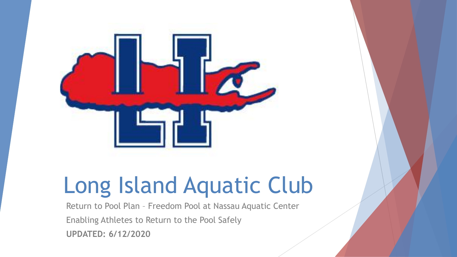

# Long Island Aquatic Club

Return to Pool Plan – Freedom Pool at Nassau Aquatic Center Enabling Athletes to Return to the Pool Safely **UPDATED: 6/12/2020**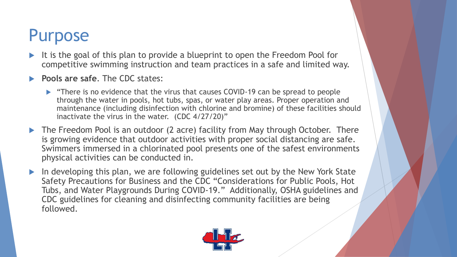### Purpose

- It is the goal of this plan to provide a blueprint to open the Freedom Pool for competitive swimming instruction and team practices in a safe and limited way.
- **Pools are safe.** The CDC states:
	- "There is no evidence that the virus that causes COVID-19 can be spread to people through the water in pools, hot tubs, spas, or water play areas. Proper operation and maintenance (including disinfection with chlorine and bromine) of these facilities should inactivate the virus in the water. (CDC 4/27/20)"
- ▶ The Freedom Pool is an outdoor (2 acre) facility from May through October. There is growing evidence that outdoor activities with proper social distancing are safe. Swimmers immersed in a chlorinated pool presents one of the safest environments physical activities can be conducted in.
- In developing this plan, we are following guidelines set out by the New York State Safety Precautions for Business and the CDC "Considerations for Public Pools, Hot Tubs, and Water Playgrounds During COVID-19." Additionally, OSHA guidelines and CDC guidelines for cleaning and disinfecting community facilities are being followed.

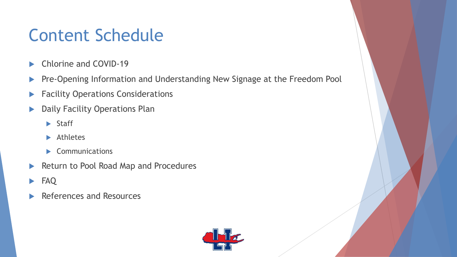### Content Schedule

- ▶ Chlorine and COVID-19
- **Pre-Opening Information and Understanding New Signage at the Freedom Pool**
- **Facility Operations Considerations**
- **Daily Facility Operations Plan** 
	- $\blacktriangleright$  Staff
	- **Athletes**
	- $\blacktriangleright$  Communications
- Return to Pool Road Map and Procedures
- **FAQ**
- References and Resources

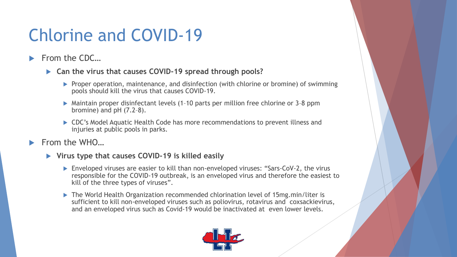## Chlorine and COVID-19

- From the CDC...
	- **Can the virus that causes COVID-19 spread through pools?**
		- **Proper operation, maintenance, and disinfection (with chlorine or bromine) of swimming** pools should kill the virus that causes COVID-19.
		- ▶ Maintain proper disinfectant levels (1-10 parts per million free chlorine or 3-8 ppm bromine) and  $pH$  (7.2-8).
		- ▶ CDC's Model Aquatic Health Code has more recommendations to prevent illness and injuries at public pools in parks.
- $\blacktriangleright$  From the WHO...
	- **Virus type that causes COVID-19 is killed easily**
		- ▶ Enveloped viruses are easier to kill than non-enveloped viruses: "Sars-CoV-2, the virus responsible for the COVID-19 outbreak, is an enveloped virus and therefore the easiest to kill of the three types of viruses".
		- ▶ The World Health Organization recommended chlorination level of 15mg.min/liter is sufficient to kill non-enveloped viruses such as poliovirus, rotavirus and coxsackievirus, and an enveloped virus such as Covid-19 would be inactivated at even lower levels.

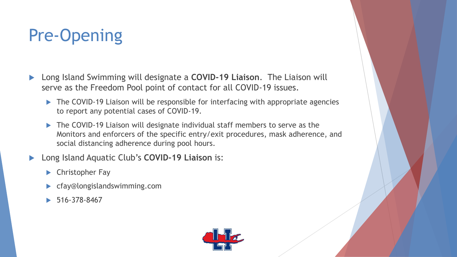## Pre-Opening

- Long Island Swimming will designate a **COVID-19 Liaison**. The Liaison will serve as the Freedom Pool point of contact for all COVID-19 issues.
	- ▶ The COVID-19 Liaison will be responsible for interfacing with appropriate agencies to report any potential cases of COVID-19.
	- ▶ The COVID-19 Liaison will designate individual staff members to serve as the Monitors and enforcers of the specific entry/exit procedures, mask adherence, and social distancing adherence during pool hours.
- Long Island Aquatic Club's **COVID-19 Liaison** is:
	- **Christopher Fay**
	- cfay@longislandswimming.com
	- 516-378-8467

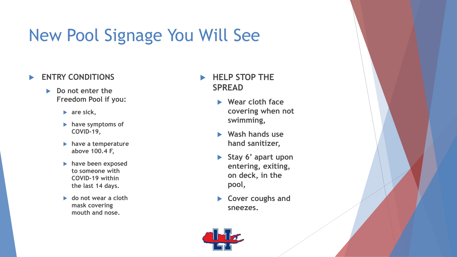### New Pool Signage You Will See

### **ENTRY CONDITIONS**

- **Do not enter the Freedom Pool if you:**
	- **are sick,**
	- **have symptoms of COVID-19,**
	- **have a temperature above 100.4 F,**
	- **have been exposed to someone with COVID-19 within the last 14 days.**
	- **do not wear a cloth mask covering mouth and nose.**
- **HELP STOP THE SPREAD**
	- **Wear cloth face covering when not swimming,**
	- **Wash hands use hand sanitizer,**
	- **Stay 6' apart upon entering, exiting, on deck, in the pool,**
	- **Cover coughs and sneezes.**

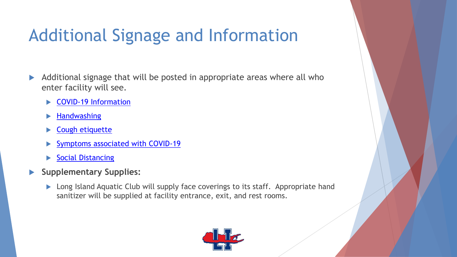# Additional Signage and Information

- Additional signage that will be posted in appropriate areas where all who enter facility will see.
	- [COVID-19 Information](https://www.cdc.gov/coronavirus/2019-ncov/downloads/2019-ncov-factsheet.pdf)
	- **[Handwashing](https://www.cdc.gov/handwashing/posters.html)**
	- **[Cough etiquette](https://www.cdc.gov/flu/pdf/protect/cdc_cough.pdf)**
	- [Symptoms associated with COVID-19](https://www.cdc.gov/coronavirus/2019-ncov/downloads/COVID19-symptoms.pdf)
	- **[Social Distancing](https://www.healthvermont.gov/sites/default/files/documents/pdf/COVID-social-distancing-poster-ltr.pdf)**
- **Supplementary Supplies:**
	- ▶ Long Island Aquatic Club will supply face coverings to its staff. Appropriate hand sanitizer will be supplied at facility entrance, exit, and rest rooms.

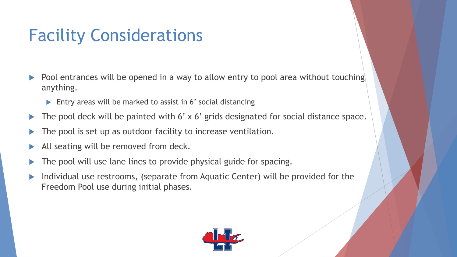## Facility Considerations

- $\triangleright$  Pool entrances will be opened in a way to allow entry to pool area without touching anything.
	- ▶ Entry areas will be marked to assist in 6' social distancing
- The pool deck will be painted with 6' x 6' grids designated for social distance space.
- The pool is set up as outdoor facility to increase ventilation.
- All seating will be removed from deck.
- The pool will use lane lines to provide physical guide for spacing.
- Individual use restrooms, (separate from Aquatic Center) will be provided for the Freedom Pool use during initial phases.

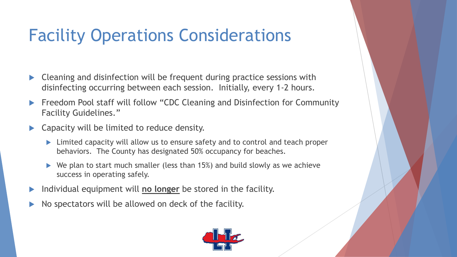# Facility Operations Considerations

- ▶ Cleaning and disinfection will be frequent during practice sessions with disinfecting occurring between each session. Initially, every 1-2 hours.
- Freedom Pool staff will follow "CDC Cleaning and Disinfection for Community Facility Guidelines."
- Capacity will be limited to reduce density.
	- ▶ Limited capacity will allow us to ensure safety and to control and teach proper behaviors. The County has designated 50% occupancy for beaches.
	- $\triangleright$  We plan to start much smaller (less than 15%) and build slowly as we achieve success in operating safely.
- Individual equipment will **no longer** be stored in the facility.
- No spectators will be allowed on deck of the facility.

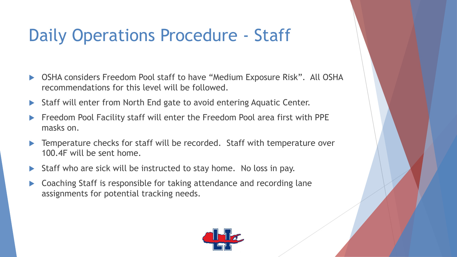## Daily Operations Procedure - Staff

- ▶ OSHA considers Freedom Pool staff to have "Medium Exposure Risk". All OSHA recommendations for this level will be followed.
- ▶ Staff will enter from North End gate to avoid entering Aquatic Center.
- Freedom Pool Facility staff will enter the Freedom Pool area first with PPE masks on.
- ▶ Temperature checks for staff will be recorded. Staff with temperature over 100.4F will be sent home.
- $\triangleright$  Staff who are sick will be instructed to stay home. No loss in pay.
- ▶ Coaching Staff is responsible for taking attendance and recording lane assignments for potential tracking needs.

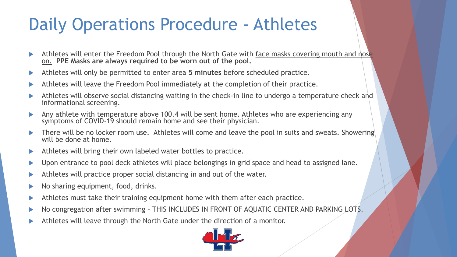# Daily Operations Procedure - Athletes

- Athletes will enter the Freedom Pool through the North Gate with face masks covering mouth and nose on. **PPE Masks are always required to be worn out of the pool.**
- Athletes will only be permitted to enter area **5 minutes** before scheduled practice.
- Athletes will leave the Freedom Pool immediately at the completion of their practice.
- Athletes will observe social distancing waiting in the check-in line to undergo a temperature check and informational screening.
- Any athlete with temperature above 100.4 will be sent home. Athletes who are experiencing any symptoms of COVID-19 should remain home and see their physician.
- There will be no locker room use. Athletes will come and leave the pool in suits and sweats. Showering will be done at home.
- Athletes will bring their own labeled water bottles to practice.
- Upon entrance to pool deck athletes will place belongings in grid space and head to assigned lane.
- Athletes will practice proper social distancing in and out of the water.
- No sharing equipment, food, drinks.
- Athletes must take their training equipment home with them after each practice.
- No congregation after swimming THIS INCLUDES IN FRONT OF AQUATIC CENTER AND PARKING LOTS.
- Athletes will leave through the North Gate under the direction of a monitor.

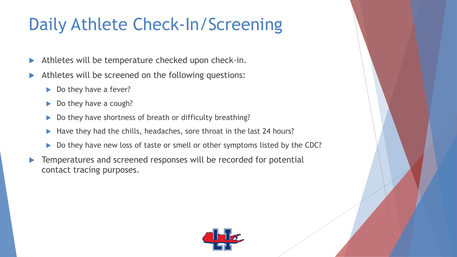# Daily Athlete Check-In/Screening

- $\blacktriangleright$  Athletes will be temperature checked upon check-in.
- Athletes will be screened on the following questions:
	- ▶ Do they have a fever?
	- ▶ Do they have a cough?
	- Do they have shortness of breath or difficulty breathing?
	- Have they had the chills, headaches, sore throat in the last 24 hours?
	- Do they have new loss of taste or smell or other symptoms listed by the CDC?
- **F** Temperatures and screened responses will be recorded for potential contact tracing purposes.

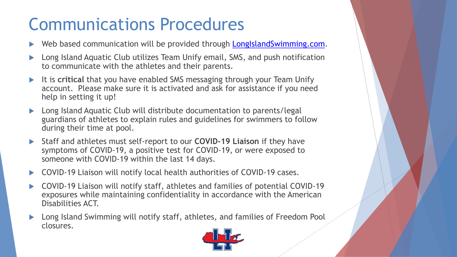# Communications Procedures

- Web based communication will be provided through [LongIslandSwimming.com.](file:///C:/Coronavirus/Longislandswimming.com)
- Long Island Aquatic Club utilizes Team Unify email, SMS, and push notification to communicate with the athletes and their parents.
- It is **critical** that you have enabled SMS messaging through your Team Unify account. Please make sure it is activated and ask for assistance if you need help in setting it up!
- Long Island Aquatic Club will distribute documentation to parents/legal guardians of athletes to explain rules and guidelines for swimmers to follow during their time at pool.
- Staff and athletes must self-report to our **COVID-19 Liaison** if they have symptoms of COVID-19, a positive test for COVID-19, or were exposed to someone with COVID-19 within the last 14 days.
- ▶ COVID-19 Liaison will notify local health authorities of COVID-19 cases.
- COVID-19 Liaison will notify staff, athletes and families of potential COVID-19 exposures while maintaining confidentiality in accordance with the American Disabilities ACT.
- Long Island Swimming will notify staff, athletes, and families of Freedom Pool closures.

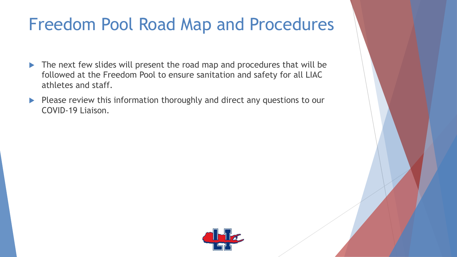### Freedom Pool Road Map and Procedures

- The next few slides will present the road map and procedures that will be followed at the Freedom Pool to ensure sanitation and safety for all LIAC athletes and staff.
- Please review this information thoroughly and direct any questions to our COVID-19 Liaison.

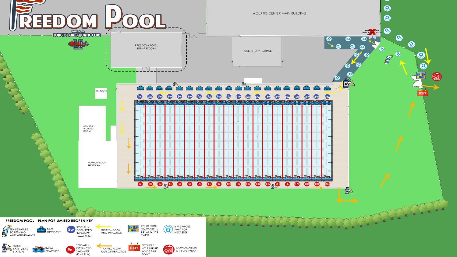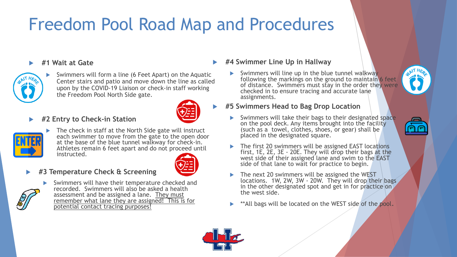### Freedom Pool Road Map and Procedures

#### **#1 Wait at Gate**



 Swimmers will form a line (6 Feet Apart) on the Aquatic Center stairs and patio and move down the line as called upon by the COVID-19 Liaison or check-in staff working the Freedom Pool North Side gate.



#### **#2 Entry to Check-in Station**



 The check in staff at the North Side gate will instruct each swimmer to move from the gate to the open door at the base of the blue tunnel walkway for check-in. Athletes remain 6 feet apart and do not proceed until instructed.



#### **#3 Temperature Check & Screening**



 Swimmers will have their temperature checked and recorded. Swimmers will also be asked a health assessment and be assigned a lane. They must remember what lane they are assigned! This is for potential contact tracing purposes!

#### **#4 Swimmer Line Up in Hallway**

 Swimmers will line up in the blue tunnel walkway following the markings on the ground to maintain 6 feet of distance. Swimmers must stay in the order they were checked in to ensure tracing and accurate lane assignments.



#### **#5 Swimmers Head to Bag Drop Location**

- Swimmers will take their bags to their designated space on the pool deck. Any items brought into the facility (such as a towel, clothes, shoes, or gear) shall be placed in the designated square.
- The first 20 swimmers will be assigned EAST locations first, 1E, 2E, 3E - 20E. They will drop their bags at the west side of their assigned lane and swim to the EAST side of that lane to wait for practice to begin.
- The next 20 swimmers will be assigned the WEST locations. 1W, 2W, 3W - 20W. They will drop their bags in the other designated spot and get in for practice on the west side.
- \*\*All bags will be located on the WEST side of the pool.

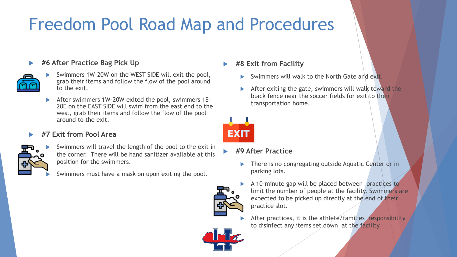### Freedom Pool Road Map and Procedures

#### **#6 After Practice Bag Pick Up**



- Swimmers 1W-20W on the WEST SIDE will exit the pool, grab their items and follow the flow of the pool around to the exit.
- After swimmers 1W-20W exited the pool, swimmers 1E-20E on the EAST SIDE will swim from the east end to the west, grab their items and follow the flow of the pool around to the exit.

#### **#7 Exit from Pool Area**



- Swimmers will travel the length of the pool to the exit in the corner. There will be hand sanitizer available at this position for the swimmers.
- Swimmers must have a mask on upon exiting the pool.

#### **#8 Exit from Facility**

- $\triangleright$  Swimmers will walk to the North Gate and exit.
- $\blacktriangleright$  After exiting the gate, swimmers will walk toward the black fence near the soccer fields for exit to their transportation home.



#### **#9 After Practice**

**There is no congregating outside Aquatic Center or in** parking lots.



- A 10-minute gap will be placed between practices to limit the number of people at the facility. Swimmers are expected to be picked up directly at the end of their practice slot.
- After practices, it is the athlete/families responsibility to disinfect any items set down at the facility.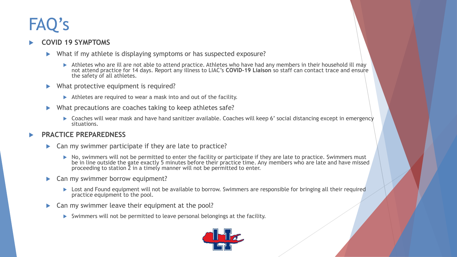#### **COVID 19 SYMPTOMS**

- What if my athlete is displaying symptoms or has suspected exposure?
	- Athletes who are ill are not able to attend practice. Athletes who have had any members in their household ill may not attend practice for 14 days. Report any illness to LIAC's **COVID-19 Liaison** so staff can contact trace and ensure the safety of all athletes.
- What protective equipment is required?
	- $\triangleright$  Athletes are required to wear a mask into and out of the facility.
- What precautions are coaches taking to keep athletes safe?
	- ▶ Coaches will wear mask and have hand sanitizer available. Coaches will keep 6' social distancing except in emergency situations.

#### **PRACTICE PREPAREDNESS**

- $\blacktriangleright$  Can my swimmer participate if they are late to practice?
	- $\triangleright$  No, swimmers will not be permitted to enter the facility or participate if they are late to practice. Swimmers must be in line outside the gate exactly 5 minutes before their practice time. Any members who are late and have missed proceeding to station 2 in a timely manner will not be permitted to enter.
- ▶ Can my swimmer borrow equipment?
	- ▶ Lost and Found equipment will not be available to borrow. Swimmers are responsible for bringing all their required practice equipment to the pool.
- ▶ Can my swimmer leave their equipment at the pool?
	- $\triangleright$  Swimmers will not be permitted to leave personal belongings at the facility.

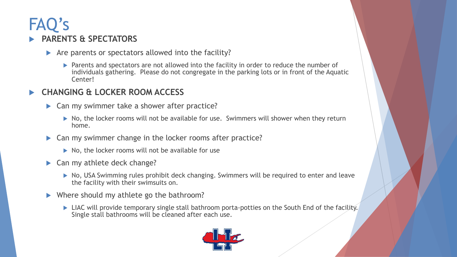### **PARENTS & SPECTATORS**

- $\blacktriangleright$  Are parents or spectators allowed into the facility?
	- **Parents and spectators are not allowed into the facility in order to reduce the number of** individuals gathering. Please do not congregate in the parking lots or in front of the Aquatic Center!

### **CHANGING & LOCKER ROOM ACCESS**

- ▶ Can my swimmer take a shower after practice?
	- ▶ No, the locker rooms will not be available for use. Swimmers will shower when they return home.
- ▶ Can my swimmer change in the locker rooms after practice?
	- $\triangleright$  No, the locker rooms will not be available for use
- $\blacktriangleright$  Can my athlete deck change?
	- No, USA Swimming rules prohibit deck changing. Swimmers will be required to enter and leave the facility with their swimsuits on.
- ▶ Where should my athlete go the bathroom?
	- ▶ LIAC will provide temporary single stall bathroom porta-potties on the South End of the facility. Single stall bathrooms will be cleaned after each use.

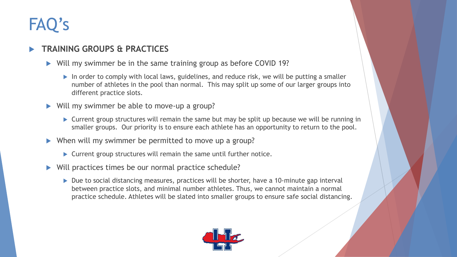### **TRAINING GROUPS & PRACTICES**

- Will my swimmer be in the same training group as before COVID 19?
	- In order to comply with local laws, guidelines, and reduce risk, we will be putting a smaller number of athletes in the pool than normal. This may split up some of our larger groups into different practice slots.
- ▶ Will my swimmer be able to move-up a group?
	- ▶ Current group structures will remain the same but may be split up because we will be running in smaller groups. Our priority is to ensure each athlete has an opportunity to return to the pool.
- When will my swimmer be permitted to move up a group?
	- $\blacktriangleright$  Current group structures will remain the same until further notice.
- ▶ Will practices times be our normal practice schedule?
	- ▶ Due to social distancing measures, practices will be shorter, have a 10-minute gap interval between practice slots, and minimal number athletes. Thus, we cannot maintain a normal practice schedule. Athletes will be slated into smaller groups to ensure safe social distancing.

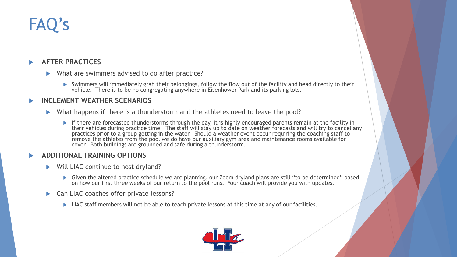#### **AFTER PRACTICES**

- What are swimmers advised to do after practice?
	- Swimmers will immediately grab their belongings, follow the flow out of the facility and head directly to their vehicle. There is to be no congregating anywhere in Eisenhower Park and its parking lots.

#### **INCLEMENT WEATHER SCENARIOS**

- What happens if there is a thunderstorm and the athletes need to leave the pool?
	- If there are forecasted thunderstorms through the day, it is highly encouraged parents remain at the facility in their vehicles during practice time. The staff will stay up to date on weather forecasts and will try to cancel any practices prior to a group getting in the water. Should a weather event occur requiring the coaching staff to remove the athletes from the pool we do have our auxiliary gym area and maintenance rooms available for cover. Both buildings are grounded and safe during a thunderstorm.

#### **ADDITIONAL TRAINING OPTIONS**

- ▶ Will LIAC continue to host dryland?
	- ▶ Given the altered practice schedule we are planning, our Zoom dryland plans are still "to be determined" based on how our first three weeks of our return to the pool runs. Your coach will provide you with updates.
- ▶ Can LIAC coaches offer private lessons?
	- ► LIAC staff members will not be able to teach private lessons at this time at any of our facilities.

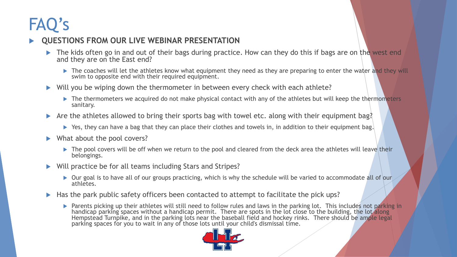### **QUESTIONS FROM OUR LIVE WEBINAR PRESENTATION**

- $\triangleright$  The kids often go in and out of their bags during practice. How can they do this if bags are on the west end and they are on the East end?
	- $\triangleright$  The coaches will let the athletes know what equipment they need as they are preparing to enter the water and they will swim to opposite end with their required equipment.
- ▶ Will you be wiping down the thermometer in between every check with each athlete?
	- $\triangleright$  The thermometers we acquired do not make physical contact with any of the athletes but will keep the thermometers sanitary.
- Are the athletes allowed to bring their sports bag with towel etc. along with their equipment bag?
	- ▶ Yes, they can have a bag that they can place their clothes and towels in, in addition to their equipment bag.
- $\blacktriangleright$  What about the pool covers?
	- $\triangleright$  The pool covers will be off when we return to the pool and cleared from the deck area the athletes will leave their belongings.
- ▶ Will practice be for all teams including Stars and Stripes?
	- ▶ Our goal is to have all of our groups practicing, which is why the schedule will be varied to accommodate all of our athletes.
- $\blacktriangleright$  Has the park public safety officers been contacted to attempt to facilitate the pick ups?
	- Parents picking up their athletes will still need to follow rules and laws in the parking lot. This includes not parking in handicap parking spaces without a handicap permit. There are spots in the lot close to the building, the lot along Hempstead Turnpike, and in the parking lots near the baseball field and hockey rinks. There should be ample legal parking spaces for you to wait in any of those lots until your child's dismissal time.